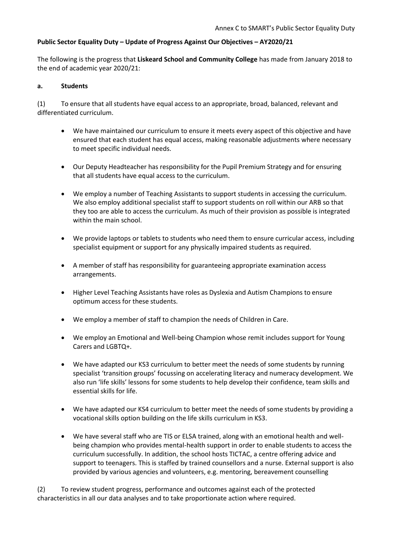## **Public Sector Equality Duty – Update of Progress Against Our Objectives – AY2020/21**

The following is the progress that **Liskeard School and Community College** has made from January 2018 to the end of academic year 2020/21:

#### **a. Students**

(1) To ensure that all students have equal access to an appropriate, broad, balanced, relevant and differentiated curriculum.

- We have maintained our curriculum to ensure it meets every aspect of this objective and have ensured that each student has equal access, making reasonable adjustments where necessary to meet specific individual needs.
- Our Deputy Headteacher has responsibility for the Pupil Premium Strategy and for ensuring that all students have equal access to the curriculum.
- We employ a number of Teaching Assistants to support students in accessing the curriculum. We also employ additional specialist staff to support students on roll within our ARB so that they too are able to access the curriculum. As much of their provision as possible is integrated within the main school.
- We provide laptops or tablets to students who need them to ensure curricular access, including specialist equipment or support for any physically impaired students as required.
- A member of staff has responsibility for guaranteeing appropriate examination access arrangements.
- Higher Level Teaching Assistants have roles as Dyslexia and Autism Champions to ensure optimum access for these students.
- We employ a member of staff to champion the needs of Children in Care.
- We employ an Emotional and Well-being Champion whose remit includes support for Young Carers and LGBTQ+.
- We have adapted our KS3 curriculum to better meet the needs of some students by running specialist 'transition groups' focussing on accelerating literacy and numeracy development. We also run 'life skills' lessons for some students to help develop their confidence, team skills and essential skills for life.
- We have adapted our KS4 curriculum to better meet the needs of some students by providing a vocational skills option building on the life skills curriculum in KS3.
- We have several staff who are TIS or ELSA trained, along with an emotional health and wellbeing champion who provides mental-health support in order to enable students to access the curriculum successfully. In addition, the school hosts TICTAC, a centre offering advice and support to teenagers. This is staffed by trained counsellors and a nurse. External support is also provided by various agencies and volunteers, e.g. mentoring, bereavement counselling

(2) To review student progress, performance and outcomes against each of the protected characteristics in all our data analyses and to take proportionate action where required.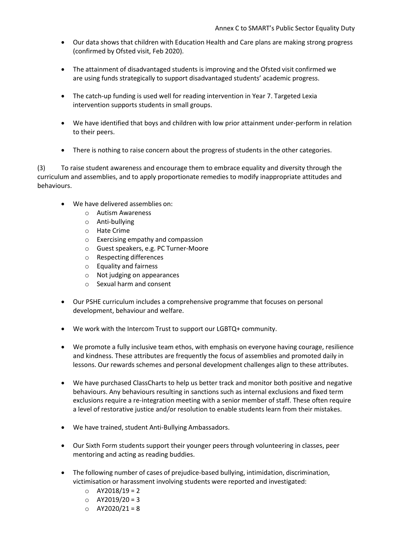- Our data shows that children with Education Health and Care plans are making strong progress (confirmed by Ofsted visit, Feb 2020).
- The attainment of disadvantaged students is improving and the Ofsted visit confirmed we are using funds strategically to support disadvantaged students' academic progress.
- The catch-up funding is used well for reading intervention in Year 7. Targeted Lexia intervention supports students in small groups.
- We have identified that boys and children with low prior attainment under-perform in relation to their peers.
- There is nothing to raise concern about the progress of students in the other categories.

(3) To raise student awareness and encourage them to embrace equality and diversity through the curriculum and assemblies, and to apply proportionate remedies to modify inappropriate attitudes and behaviours.

- We have delivered assemblies on:
	- o Autism Awareness
	- o Anti-bullying
	- o Hate Crime
	- o Exercising empathy and compassion
	- o Guest speakers, e.g. PC Turner-Moore
	- o Respecting differences
	- o Equality and fairness
	- o Not judging on appearances
	- o Sexual harm and consent
- Our PSHE curriculum includes a comprehensive programme that focuses on personal development, behaviour and welfare.
- We work with the Intercom Trust to support our LGBTQ+ community.
- We promote a fully inclusive team ethos, with emphasis on everyone having courage, resilience and kindness. These attributes are frequently the focus of assemblies and promoted daily in lessons. Our rewards schemes and personal development challenges align to these attributes.
- We have purchased ClassCharts to help us better track and monitor both positive and negative behaviours. Any behaviours resulting in sanctions such as internal exclusions and fixed term exclusions require a re-integration meeting with a senior member of staff. These often require a level of restorative justice and/or resolution to enable students learn from their mistakes.
- We have trained, student Anti-Bullying Ambassadors.
- Our Sixth Form students support their younger peers through volunteering in classes, peer mentoring and acting as reading buddies.
- The following number of cases of prejudice-based bullying, intimidation, discrimination, victimisation or harassment involving students were reported and investigated:
	- $O$  AY2018/19 = 2
	- $O$  AY2019/20 = 3
	- $O$  AY2020/21 = 8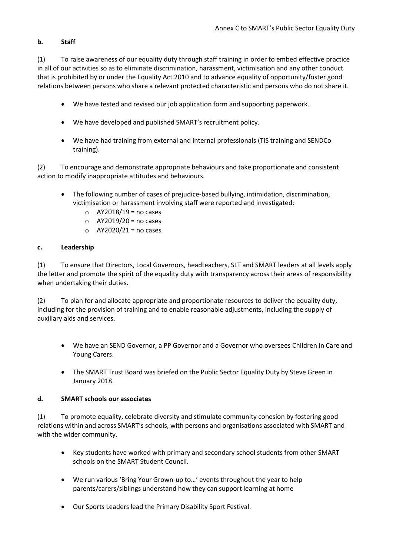# **b. Staff**

(1) To raise awareness of our equality duty through staff training in order to embed effective practice in all of our activities so as to eliminate discrimination, harassment, victimisation and any other conduct that is prohibited by or under the Equality Act 2010 and to advance equality of opportunity/foster good relations between persons who share a relevant protected characteristic and persons who do not share it.

- We have tested and revised our job application form and supporting paperwork.
- We have developed and published SMART's recruitment policy.
- We have had training from external and internal professionals (TIS training and SENDCo training).

(2) To encourage and demonstrate appropriate behaviours and take proportionate and consistent action to modify inappropriate attitudes and behaviours.

- The following number of cases of prejudice-based bullying, intimidation, discrimination, victimisation or harassment involving staff were reported and investigated:
	- $O$  AY2018/19 = no cases
	- $O$  AY2019/20 = no cases
	- $\circ$  AY2020/21 = no cases

## **c. Leadership**

(1) To ensure that Directors, Local Governors, headteachers, SLT and SMART leaders at all levels apply the letter and promote the spirit of the equality duty with transparency across their areas of responsibility when undertaking their duties.

(2) To plan for and allocate appropriate and proportionate resources to deliver the equality duty, including for the provision of training and to enable reasonable adjustments, including the supply of auxiliary aids and services.

- We have an SEND Governor, a PP Governor and a Governor who oversees Children in Care and Young Carers.
- The SMART Trust Board was briefed on the Public Sector Equality Duty by Steve Green in January 2018.

## **d. SMART schools our associates**

(1) To promote equality, celebrate diversity and stimulate community cohesion by fostering good relations within and across SMART's schools, with persons and organisations associated with SMART and with the wider community.

- Key students have worked with primary and secondary school students from other SMART schools on the SMART Student Council.
- We run various 'Bring Your Grown-up to…' events throughout the year to help parents/carers/siblings understand how they can support learning at home
- Our Sports Leaders lead the Primary Disability Sport Festival.